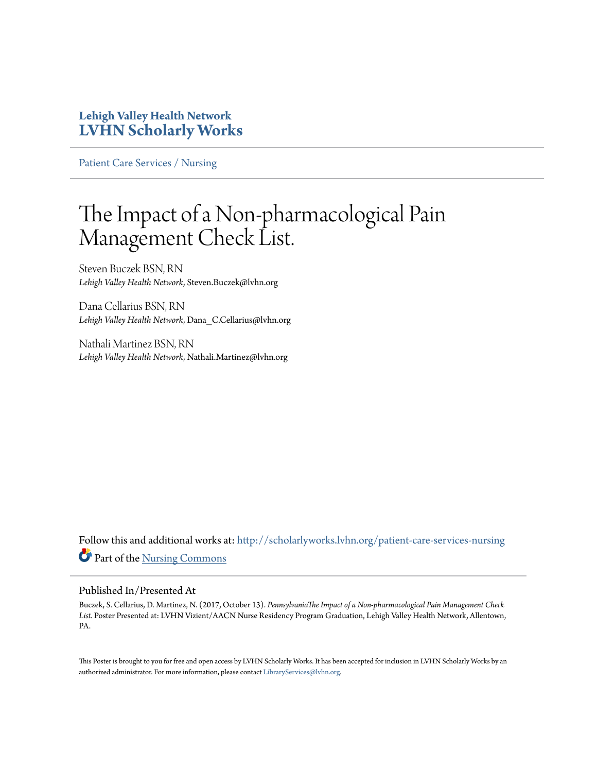## **Lehigh Valley Health Network [LVHN Scholarly Works](http://scholarlyworks.lvhn.org?utm_source=scholarlyworks.lvhn.org%2Fpatient-care-services-nursing%2F858&utm_medium=PDF&utm_campaign=PDFCoverPages)**

[Patient Care Services / Nursing](http://scholarlyworks.lvhn.org/patient-care-services-nursing?utm_source=scholarlyworks.lvhn.org%2Fpatient-care-services-nursing%2F858&utm_medium=PDF&utm_campaign=PDFCoverPages)

## The Impact of a Non-pharmacological Pain Management Check List.

Steven Buczek BSN, RN *Lehigh Valley Health Network*, Steven.Buczek@lvhn.org

Dana Cellarius BSN, RN *Lehigh Valley Health Network*, Dana\_C.Cellarius@lvhn.org

Nathali Martinez BSN, RN *Lehigh Valley Health Network*, Nathali.Martinez@lvhn.org

Follow this and additional works at: [http://scholarlyworks.lvhn.org/patient-care-services-nursing](http://scholarlyworks.lvhn.org/patient-care-services-nursing?utm_source=scholarlyworks.lvhn.org%2Fpatient-care-services-nursing%2F858&utm_medium=PDF&utm_campaign=PDFCoverPages) Part of the [Nursing Commons](http://network.bepress.com/hgg/discipline/718?utm_source=scholarlyworks.lvhn.org%2Fpatient-care-services-nursing%2F858&utm_medium=PDF&utm_campaign=PDFCoverPages)

## Published In/Presented At

Buczek, S. Cellarius, D. Martinez, N. (2017, October 13). *PennsylvaniaThe Impact of a Non-pharmacological Pain Management Check List.* Poster Presented at: LVHN Vizient/AACN Nurse Residency Program Graduation, Lehigh Valley Health Network, Allentown, PA.

This Poster is brought to you for free and open access by LVHN Scholarly Works. It has been accepted for inclusion in LVHN Scholarly Works by an authorized administrator. For more information, please contact [LibraryServices@lvhn.org.](mailto:LibraryServices@lvhn.org)